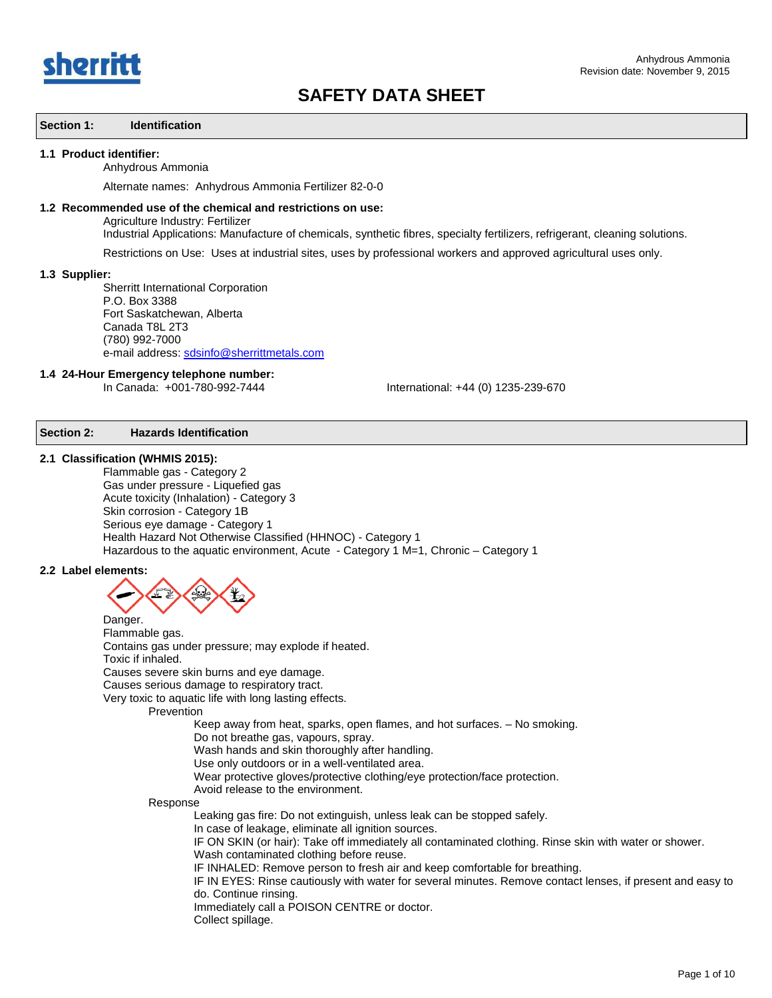

### **Section 1: Identification**

#### **1.1 Product identifier:**

#### Anhydrous Ammonia

Alternate names: Anhydrous Ammonia Fertilizer 82-0-0

## **1.2 Recommended use of the chemical and restrictions on use:** Agriculture Industry: Fertilizer

Industrial Applications: Manufacture of chemicals, synthetic fibres, specialty fertilizers, refrigerant, cleaning solutions.

Restrictions on Use: Uses at industrial sites, uses by professional workers and approved agricultural uses only.

#### **1.3 Supplier:**

Sherritt International Corporation P.O. Box 3388 Fort Saskatchewan, Alberta Canada T8L 2T3 (780) 992-7000 e-mail address: [sdsinfo@sherrittmetals.com](mailto:sdsinfo@sherrittmetals.com)

# **1.4 24-Hour Emergency telephone number:**

International: +44 (0) 1235-239-670

## **Section 2: Hazards Identification**

#### **2.1 Classification (WHMIS 2015):**

Flammable gas - Category 2 Gas under pressure - Liquefied gas Acute toxicity (Inhalation) - Category 3 Skin corrosion - Category 1B Serious eye damage - Category 1 Health Hazard Not Otherwise Classified (HHNOC) - Category 1 Hazardous to the aquatic environment, Acute - Category 1 M=1, Chronic - Category 1

#### **2.2 Label elements:**



Flammable gas. Contains gas under pressure; may explode if heated. Toxic if inhaled. Causes severe skin burns and eye damage. Causes serious damage to respiratory tract. Very toxic to aquatic life with long lasting effects. Prevention Keep away from heat, sparks, open flames, and hot surfaces. – No smoking. Do not breathe gas, vapours, spray. Wash hands and skin thoroughly after handling. Use only outdoors or in a well-ventilated area. Wear protective gloves/protective clothing/eye protection/face protection. Avoid release to the environment.

Response

Leaking gas fire: Do not extinguish, unless leak can be stopped safely.

In case of leakage, eliminate all ignition sources.

IF ON SKIN (or hair): Take off immediately all contaminated clothing. Rinse skin with water or shower.

Wash contaminated clothing before reuse.

IF INHALED: Remove person to fresh air and keep comfortable for breathing.

IF IN EYES: Rinse cautiously with water for several minutes. Remove contact lenses, if present and easy to do. Continue rinsing.

Immediately call a POISON CENTRE or doctor.

Collect spillage.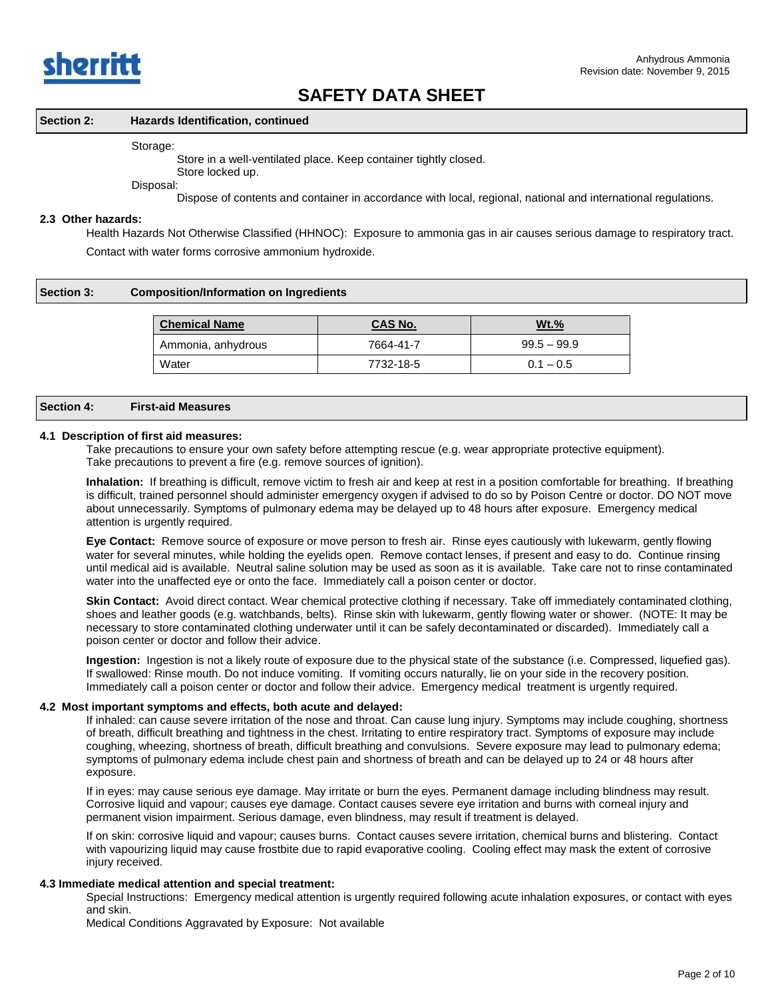

#### **Section 2: Hazards Identification, continued**

#### Storage:

Store in a well-ventilated place. Keep container tightly closed.

Store locked up.

Disposal:

Dispose of contents and container in accordance with local, regional, national and international regulations.

#### **2.3 Other hazards:**

Health Hazards Not Otherwise Classified (HHNOC): Exposure to ammonia gas in air causes serious damage to respiratory tract. Contact with water forms corrosive ammonium hydroxide.

#### **Section 3: Composition/Information on Ingredients**

| <b>Chemical Name</b> | <b>CAS No.</b> | <u>Wt.%</u>   |
|----------------------|----------------|---------------|
| Ammonia, anhydrous   | 7664-41-7      | $99.5 - 99.9$ |
| Water                | 7732-18-5      | $0.1 - 0.5$   |

#### **Section 4: First-aid Measures**

#### **4.1 Description of first aid measures:**

Take precautions to ensure your own safety before attempting rescue (e.g. wear appropriate protective equipment). Take precautions to prevent a fire (e.g. remove sources of ignition).

**Inhalation:** If breathing is difficult, remove victim to fresh air and keep at rest in a position comfortable for breathing. If breathing is difficult, trained personnel should administer emergency oxygen if advised to do so by Poison Centre or doctor. DO NOT move about unnecessarily. Symptoms of pulmonary edema may be delayed up to 48 hours after exposure. Emergency medical attention is urgently required.

**Eye Contact:** Remove source of exposure or move person to fresh air. Rinse eyes cautiously with lukewarm, gently flowing water for several minutes, while holding the eyelids open. Remove contact lenses, if present and easy to do. Continue rinsing until medical aid is available. Neutral saline solution may be used as soon as it is available. Take care not to rinse contaminated water into the unaffected eye or onto the face. Immediately call a poison center or doctor.

**Skin Contact:** Avoid direct contact. Wear chemical protective clothing if necessary. Take off immediately contaminated clothing, shoes and leather goods (e.g. watchbands, belts). Rinse skin with lukewarm, gently flowing water or shower. (NOTE: It may be necessary to store contaminated clothing underwater until it can be safely decontaminated or discarded). Immediately call a poison center or doctor and follow their advice.

**Ingestion:** Ingestion is not a likely route of exposure due to the physical state of the substance (i.e. Compressed, liquefied gas). If swallowed: Rinse mouth. Do not induce vomiting. If vomiting occurs naturally, lie on your side in the recovery position. Immediately call a poison center or doctor and follow their advice. Emergency medical treatment is urgently required.

#### **4.2 Most important symptoms and effects, both acute and delayed:**

If inhaled: can cause severe irritation of the nose and throat. Can cause lung injury. Symptoms may include coughing, shortness of breath, difficult breathing and tightness in the chest. Irritating to entire respiratory tract. Symptoms of exposure may include coughing, wheezing, shortness of breath, difficult breathing and convulsions. Severe exposure may lead to pulmonary edema; symptoms of pulmonary edema include chest pain and shortness of breath and can be delayed up to 24 or 48 hours after exposure.

If in eyes: may cause serious eye damage. May irritate or burn the eyes. Permanent damage including blindness may result. Corrosive liquid and vapour; causes eye damage. Contact causes severe eye irritation and burns with corneal injury and permanent vision impairment. Serious damage, even blindness, may result if treatment is delayed.

If on skin: corrosive liquid and vapour; causes burns. Contact causes severe irritation, chemical burns and blistering. Contact with vapourizing liquid may cause frostbite due to rapid evaporative cooling. Cooling effect may mask the extent of corrosive injury received.

#### **4.3 Immediate medical attention and special treatment:**

Special Instructions: Emergency medical attention is urgently required following acute inhalation exposures, or contact with eyes and skin.

Medical Conditions Aggravated by Exposure: Not available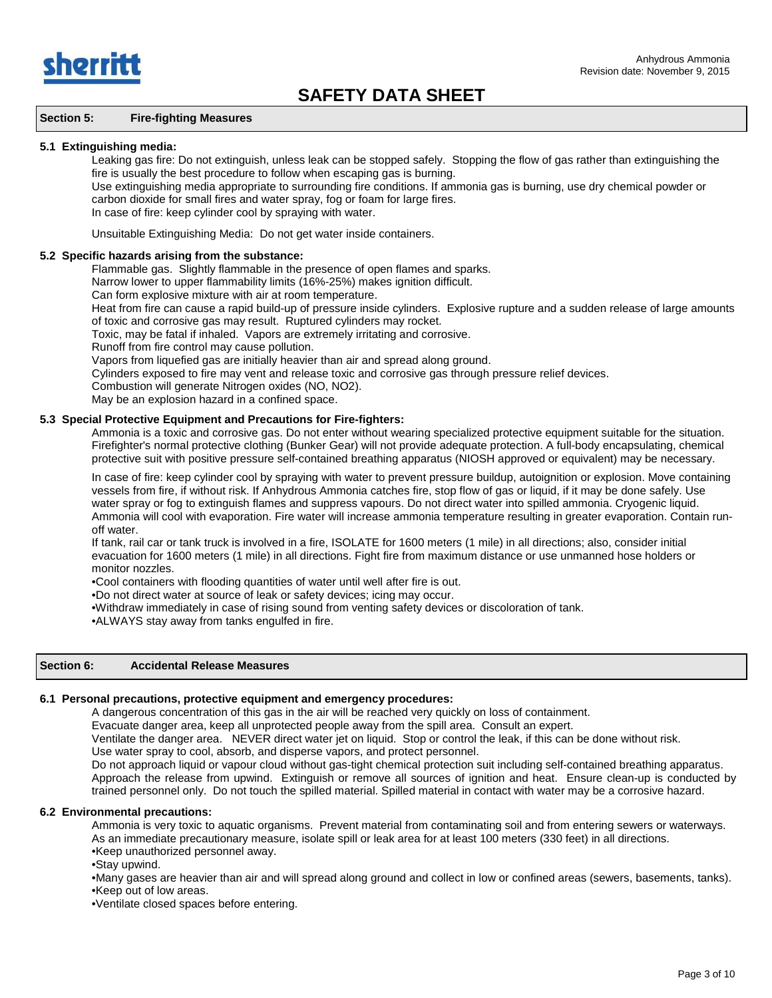

## **Section 5: Fire-fighting Measures**

### **5.1 Extinguishing media:**

Leaking gas fire: Do not extinguish, unless leak can be stopped safely. Stopping the flow of gas rather than extinguishing the fire is usually the best procedure to follow when escaping gas is burning.

Use extinguishing media appropriate to surrounding fire conditions. If ammonia gas is burning, use dry chemical powder or carbon dioxide for small fires and water spray, fog or foam for large fires.

In case of fire: keep cylinder cool by spraying with water.

Unsuitable Extinguishing Media: Do not get water inside containers.

## **5.2 Specific hazards arising from the substance:**

Flammable gas. Slightly flammable in the presence of open flames and sparks.

Narrow lower to upper flammability limits (16%-25%) makes ignition difficult.

Can form explosive mixture with air at room temperature.

Heat from fire can cause a rapid build-up of pressure inside cylinders. Explosive rupture and a sudden release of large amounts of toxic and corrosive gas may result. Ruptured cylinders may rocket.

Toxic, may be fatal if inhaled. Vapors are extremely irritating and corrosive.

Runoff from fire control may cause pollution.

Vapors from liquefied gas are initially heavier than air and spread along ground.

Cylinders exposed to fire may vent and release toxic and corrosive gas through pressure relief devices.

Combustion will generate Nitrogen oxides (NO, NO2).

May be an explosion hazard in a confined space.

## **5.3 Special Protective Equipment and Precautions for Fire-fighters:**

Ammonia is a toxic and corrosive gas. Do not enter without wearing specialized protective equipment suitable for the situation. Firefighter's normal protective clothing (Bunker Gear) will not provide adequate protection. A full-body encapsulating, chemical protective suit with positive pressure self-contained breathing apparatus (NIOSH approved or equivalent) may be necessary.

In case of fire: keep cylinder cool by spraying with water to prevent pressure buildup, autoignition or explosion. Move containing vessels from fire, if without risk. If Anhydrous Ammonia catches fire, stop flow of gas or liquid, if it may be done safely. Use water spray or fog to extinguish flames and suppress vapours. Do not direct water into spilled ammonia. Cryogenic liquid. Ammonia will cool with evaporation. Fire water will increase ammonia temperature resulting in greater evaporation. Contain runoff water.

If tank, rail car or tank truck is involved in a fire, ISOLATE for 1600 meters (1 mile) in all directions; also, consider initial evacuation for 1600 meters (1 mile) in all directions. Fight fire from maximum distance or use unmanned hose holders or monitor nozzles.

•Cool containers with flooding quantities of water until well after fire is out.

•Do not direct water at source of leak or safety devices; icing may occur.

•Withdraw immediately in case of rising sound from venting safety devices or discoloration of tank.

•ALWAYS stay away from tanks engulfed in fire.

## **Section 6: Accidental Release Measures**

## **6.1 Personal precautions, protective equipment and emergency procedures:**

A dangerous concentration of this gas in the air will be reached very quickly on loss of containment.

Evacuate danger area, keep all unprotected people away from the spill area. Consult an expert.

Ventilate the danger area. NEVER direct water jet on liquid. Stop or control the leak, if this can be done without risk.

Use water spray to cool, absorb, and disperse vapors, and protect personnel.

Do not approach liquid or vapour cloud without gas-tight chemical protection suit including self-contained breathing apparatus. Approach the release from upwind. Extinguish or remove all sources of ignition and heat. Ensure clean-up is conducted by trained personnel only. Do not touch the spilled material. Spilled material in contact with water may be a corrosive hazard.

## **6.2 Environmental precautions:**

Ammonia is very toxic to aquatic organisms. Prevent material from contaminating soil and from entering sewers or waterways. As an immediate precautionary measure, isolate spill or leak area for at least 100 meters (330 feet) in all directions. •Keep unauthorized personnel away.

•Stay upwind.

•Many gases are heavier than air and will spread along ground and collect in low or confined areas (sewers, basements, tanks). •Keep out of low areas.

•Ventilate closed spaces before entering.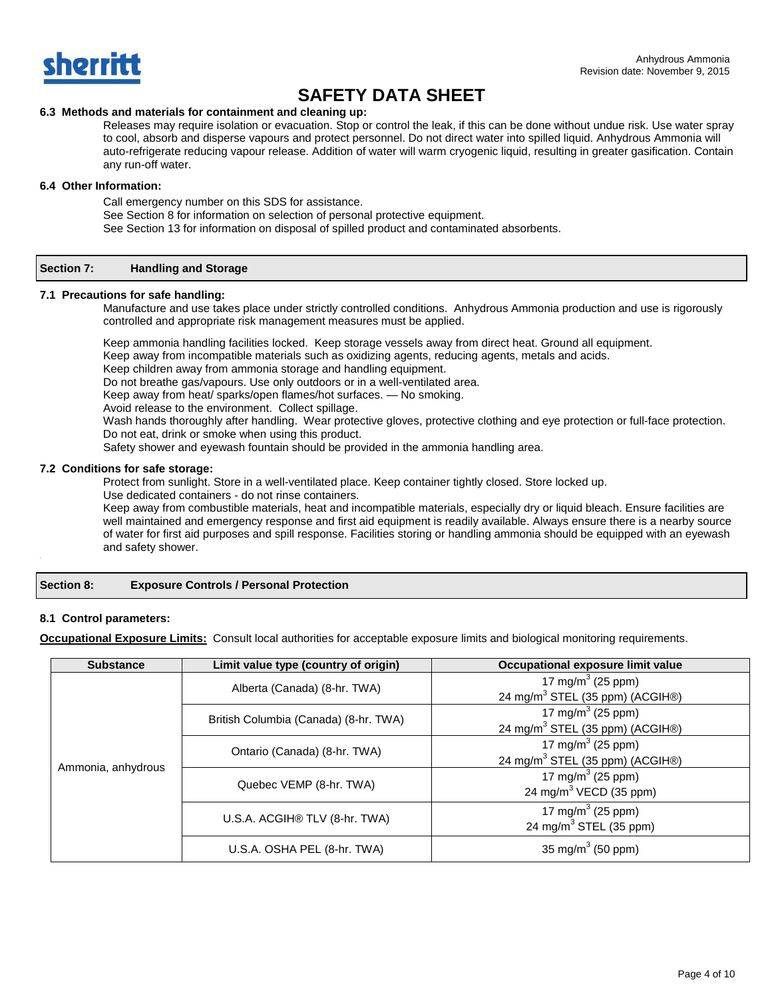

## **6.3 Methods and materials for containment and cleaning up:**

Releases may require isolation or evacuation. Stop or control the leak, if this can be done without undue risk. Use water spray to cool, absorb and disperse vapours and protect personnel. Do not direct water into spilled liquid. Anhydrous Ammonia will auto-refrigerate reducing vapour release. Addition of water will warm cryogenic liquid, resulting in greater gasification. Contain any run-off water.

## **6.4 Other Information:**

Call emergency number on this SDS for assistance.

See Section 8 for information on selection of personal protective equipment.

See Section 13 for information on disposal of spilled product and contaminated absorbents.

#### **Section 7: Handling and Storage**

## **7.1 Precautions for safe handling:**

Manufacture and use takes place under strictly controlled conditions. Anhydrous Ammonia production and use is rigorously controlled and appropriate risk management measures must be applied.

Keep ammonia handling facilities locked. Keep storage vessels away from direct heat. Ground all equipment.

Keep away from incompatible materials such as oxidizing agents, reducing agents, metals and acids.

Keep children away from ammonia storage and handling equipment.

Do not breathe gas/vapours. Use only outdoors or in a well-ventilated area.

Keep away from heat/ sparks/open flames/hot surfaces. — No smoking.

Avoid release to the environment. Collect spillage.

Wash hands thoroughly after handling. Wear protective gloves, protective clothing and eye protection or full-face protection. Do not eat, drink or smoke when using this product.

Safety shower and eyewash fountain should be provided in the ammonia handling area.

## **7.2 Conditions for safe storage:**

Protect from sunlight. Store in a well-ventilated place. Keep container tightly closed. Store locked up.

Use dedicated containers - do not rinse containers.

Keep away from combustible materials, heat and incompatible materials, especially dry or liquid bleach. Ensure facilities are well maintained and emergency response and first aid equipment is readily available. Always ensure there is a nearby source of water for first aid purposes and spill response. Facilities storing or handling ammonia should be equipped with an eyewash and safety shower.

**Section 8: Exposure Controls / Personal Protection**

## **8.1 Control parameters:**

**Occupational Exposure Limits:** Consult local authorities for acceptable exposure limits and biological monitoring requirements.

| <b>Substance</b>   | Limit value type (country of origin)  | Occupational exposure limit value                                            |
|--------------------|---------------------------------------|------------------------------------------------------------------------------|
| Ammonia, anhydrous | Alberta (Canada) (8-hr. TWA)          | 17 mg/m <sup>3</sup> (25 ppm)<br>24 mg/m <sup>3</sup> STEL (35 ppm) (ACGIH®) |
|                    | British Columbia (Canada) (8-hr. TWA) | 17 mg/m <sup>3</sup> (25 ppm)<br>24 mg/m <sup>3</sup> STEL (35 ppm) (ACGIH®) |
|                    | Ontario (Canada) (8-hr. TWA)          | 17 mg/m <sup>3</sup> (25 ppm)<br>24 mg/m <sup>3</sup> STEL (35 ppm) (ACGIH®) |
|                    | Quebec VEMP (8-hr. TWA)               | 17 mg/m <sup>3</sup> (25 ppm)<br>24 mg/m <sup>3</sup> VECD (35 ppm)          |
|                    | U.S.A. ACGIH® TLV (8-hr. TWA)         | 17 mg/m <sup>3</sup> (25 ppm)<br>24 mg/m <sup>3</sup> STEL (35 ppm)          |
|                    | U.S.A. OSHA PEL (8-hr. TWA)           | 35 mg/m <sup>3</sup> (50 ppm)                                                |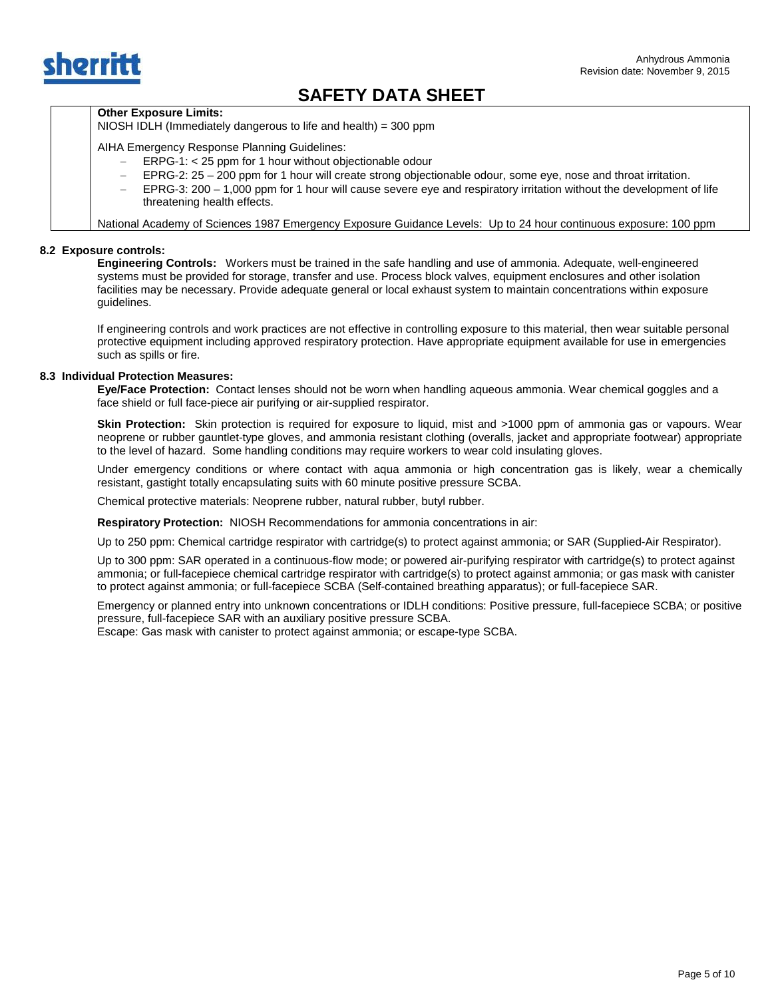

## **Other Exposure Limits:**

NIOSH IDLH (Immediately dangerous to life and health) = 300 ppm

AIHA Emergency Response Planning Guidelines:

- − ERPG-1: < 25 ppm for 1 hour without objectionable odour
- − EPRG-2: 25 200 ppm for 1 hour will create strong objectionable odour, some eye, nose and throat irritation.
- − EPRG-3: 200 1,000 ppm for 1 hour will cause severe eye and respiratory irritation without the development of life threatening health effects.

National Academy of Sciences 1987 Emergency Exposure Guidance Levels: Up to 24 hour continuous exposure: 100 ppm

## **8.2 Exposure controls:**

**Engineering Controls:** Workers must be trained in the safe handling and use of ammonia. Adequate, well-engineered systems must be provided for storage, transfer and use. Process block valves, equipment enclosures and other isolation facilities may be necessary. Provide adequate general or local exhaust system to maintain concentrations within exposure guidelines.

If engineering controls and work practices are not effective in controlling exposure to this material, then wear suitable personal protective equipment including approved respiratory protection. Have appropriate equipment available for use in emergencies such as spills or fire.

### **8.3 Individual Protection Measures:**

**Eye/Face Protection:** Contact lenses should not be worn when handling aqueous ammonia. Wear chemical goggles and a face shield or full face-piece air purifying or air-supplied respirator.

 **Skin Protection:** Skin protection is required for exposure to liquid, mist and >1000 ppm of ammonia gas or vapours. Wear neoprene or rubber gauntlet-type gloves, and ammonia resistant clothing (overalls, jacket and appropriate footwear) appropriate to the level of hazard. Some handling conditions may require workers to wear cold insulating gloves.

Under emergency conditions or where contact with aqua ammonia or high concentration gas is likely, wear a chemically resistant, gastight totally encapsulating suits with 60 minute positive pressure SCBA.

Chemical protective materials: Neoprene rubber, natural rubber, butyl rubber.

**Respiratory Protection:** NIOSH Recommendations for ammonia concentrations in air:

Up to 250 ppm: Chemical cartridge respirator with cartridge(s) to protect against ammonia; or SAR (Supplied-Air Respirator).

Up to 300 ppm: SAR operated in a continuous-flow mode; or powered air-purifying respirator with cartridge(s) to protect against ammonia; or full-facepiece chemical cartridge respirator with cartridge(s) to protect against ammonia; or gas mask with canister to protect against ammonia; or full-facepiece SCBA (Self-contained breathing apparatus); or full-facepiece SAR.

Emergency or planned entry into unknown concentrations or IDLH conditions: Positive pressure, full-facepiece SCBA; or positive pressure, full-facepiece SAR with an auxiliary positive pressure SCBA.

Escape: Gas mask with canister to protect against ammonia; or escape-type SCBA.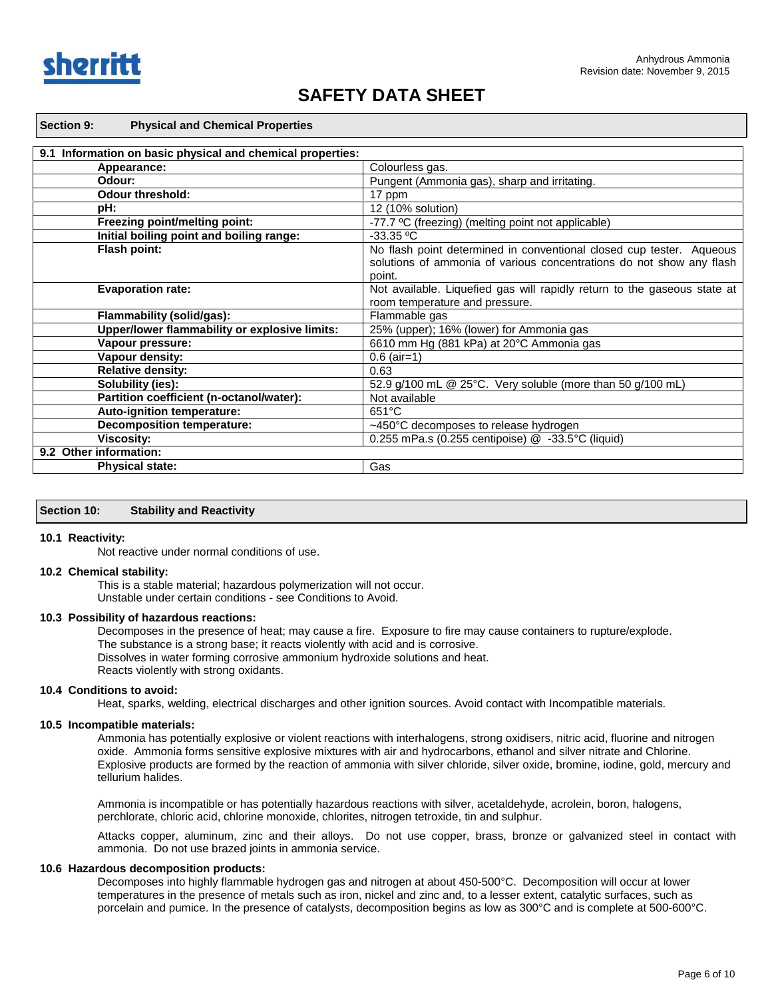

| <b>Physical and Chemical Properties</b><br><b>Section 9:</b>  |                                                                          |
|---------------------------------------------------------------|--------------------------------------------------------------------------|
| Information on basic physical and chemical properties:<br>9.1 |                                                                          |
| Appearance:                                                   | Colourless gas.                                                          |
| Odour:                                                        | Pungent (Ammonia gas), sharp and irritating.                             |
| <b>Odour threshold:</b>                                       | 17 ppm                                                                   |
| pH:                                                           | 12 (10% solution)                                                        |
| Freezing point/melting point:                                 | -77.7 °C (freezing) (melting point not applicable)                       |
| Initial boiling point and boiling range:                      | $-33.35 °C$                                                              |
| Flash point:                                                  | No flash point determined in conventional closed cup tester. Aqueous     |
|                                                               | solutions of ammonia of various concentrations do not show any flash     |
|                                                               | point.                                                                   |
| <b>Evaporation rate:</b>                                      | Not available. Liquefied gas will rapidly return to the gaseous state at |
|                                                               | room temperature and pressure.                                           |
| Flammability (solid/gas):                                     | Flammable gas                                                            |
| Upper/lower flammability or explosive limits:                 | 25% (upper); 16% (lower) for Ammonia gas                                 |
| Vapour pressure:                                              | 6610 mm Hg (881 kPa) at 20°C Ammonia gas                                 |
| Vapour density:                                               | $0.6$ (air=1)                                                            |
| <b>Relative density:</b>                                      | 0.63                                                                     |
| Solubility (ies):                                             | 52.9 g/100 mL @ 25°C. Very soluble (more than 50 g/100 mL)               |
|                                                               |                                                                          |

## **Partition coefficient (n-octanol/water):** Not available<br>
Auto-ignition temperature: 651°C **Auto-ignition temperature: Decomposition temperature:**  $\sim$   $\sim$   $\sim$   $\sim$   $\sim$   $\sim$  450°C decomposes to release hydrogen **Viscosity:** 0.255 mPa.s (0.255 centipoise) @ -33.5°C (liquid) **9.2 Other information: Physical state:** Gas

## **Section 10: Stability and Reactivity**

#### **10.1 Reactivity:**

Not reactive under normal conditions of use.

#### **10.2 Chemical stability:**

This is a stable material; hazardous polymerization will not occur. Unstable under certain conditions - see Conditions to Avoid.

#### **10.3 Possibility of hazardous reactions:**

Decomposes in the presence of heat; may cause a fire. Exposure to fire may cause containers to rupture/explode. The substance is a strong base; it reacts violently with acid and is corrosive. Dissolves in water forming corrosive ammonium hydroxide solutions and heat. Reacts violently with strong oxidants.

#### **10.4 Conditions to avoid:**

Heat, sparks, welding, electrical discharges and other ignition sources. Avoid contact with Incompatible materials.

#### **10.5 Incompatible materials:**

Ammonia has potentially explosive or violent reactions with interhalogens, strong oxidisers, nitric acid, fluorine and nitrogen oxide. Ammonia forms sensitive explosive mixtures with air and hydrocarbons, ethanol and silver nitrate and Chlorine. Explosive products are formed by the reaction of ammonia with silver chloride, silver oxide, bromine, iodine, gold, mercury and tellurium halides.

Ammonia is incompatible or has potentially hazardous reactions with silver, acetaldehyde, acrolein, boron, halogens, perchlorate, chloric acid, chlorine monoxide, chlorites, nitrogen tetroxide, tin and sulphur.

Attacks copper, aluminum, zinc and their alloys. Do not use copper, brass, bronze or galvanized steel in contact with ammonia. Do not use brazed joints in ammonia service.

#### **10.6 Hazardous decomposition products:**

Decomposes into highly flammable hydrogen gas and nitrogen at about 450-500°C. Decomposition will occur at lower temperatures in the presence of metals such as iron, nickel and zinc and, to a lesser extent, catalytic surfaces, such as porcelain and pumice. In the presence of catalysts, decomposition begins as low as 300°C and is complete at 500-600°C.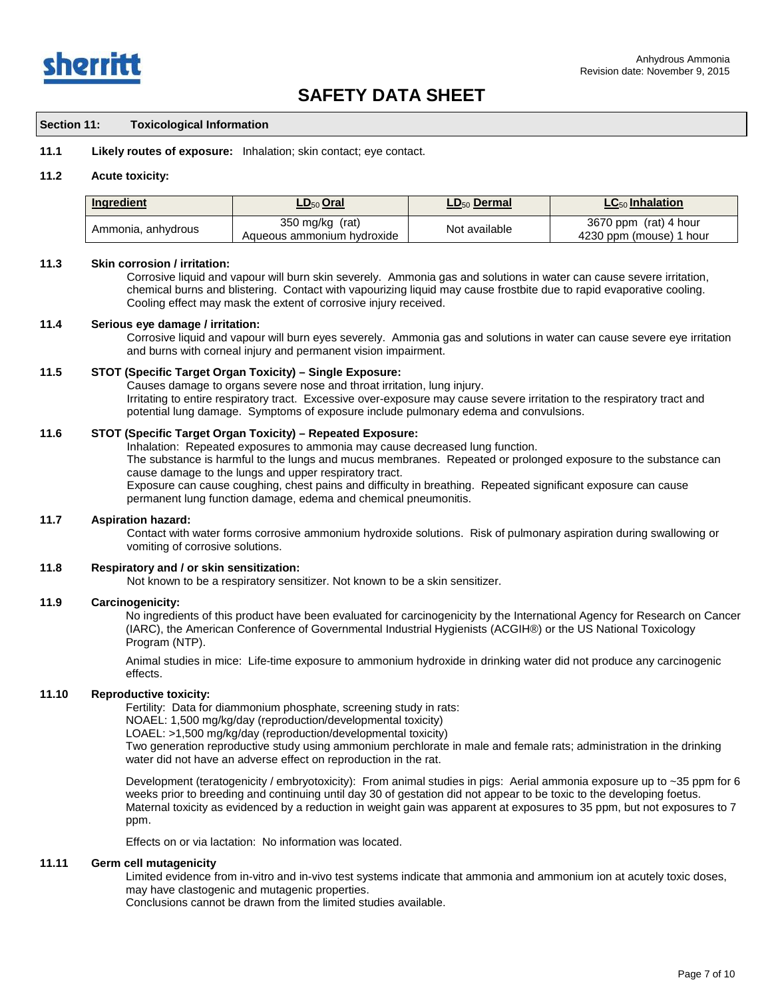

## **Section 11: Toxicological Information**

**11.1 Likely routes of exposure:** Inhalation; skin contact; eye contact.

#### **11.2 Acute toxicity:**

| Ingredient         | <u>LD<sub>50</sub> Oral</u>                     | LD <sub>50</sub> Dermal | $LC_{50}$ Inhalation                                |
|--------------------|-------------------------------------------------|-------------------------|-----------------------------------------------------|
| Ammonia, anhydrous | 350 mg/kg $(rat)$<br>Aqueous ammonium hydroxide | Not available           | 3670 ppm (rat) 4 hour<br>4230 ppm (mouse)<br>1 hour |

#### **11.3 Skin corrosion / irritation:**

Corrosive liquid and vapour will burn skin severely. Ammonia gas and solutions in water can cause severe irritation, chemical burns and blistering. Contact with vapourizing liquid may cause frostbite due to rapid evaporative cooling. Cooling effect may mask the extent of corrosive injury received.

#### **11.4 Serious eye damage / irritation:**

Corrosive liquid and vapour will burn eyes severely. Ammonia gas and solutions in water can cause severe eye irritation and burns with corneal injury and permanent vision impairment.

## **11.5 STOT (Specific Target Organ Toxicity) – Single Exposure:**

Causes damage to organs severe nose and throat irritation, lung injury. Irritating to entire respiratory tract. Excessive over-exposure may cause severe irritation to the respiratory tract and potential lung damage. Symptoms of exposure include pulmonary edema and convulsions.

## **11.6 STOT (Specific Target Organ Toxicity) – Repeated Exposure:**

Inhalation: Repeated exposures to ammonia may cause decreased lung function. The substance is harmful to the lungs and mucus membranes. Repeated or prolonged exposure to the substance can cause damage to the lungs and upper respiratory tract. Exposure can cause coughing, chest pains and difficulty in breathing. Repeated significant exposure can cause

permanent lung function damage, edema and chemical pneumonitis.

### **11.7 Aspiration hazard:**

Contact with water forms corrosive ammonium hydroxide solutions. Risk of pulmonary aspiration during swallowing or vomiting of corrosive solutions.

## **11.8 Respiratory and / or skin sensitization:**

Not known to be a respiratory sensitizer. Not known to be a skin sensitizer.

#### **11.9 Carcinogenicity:**

No ingredients of this product have been evaluated for carcinogenicity by the International Agency for Research on Cancer (IARC), the American Conference of Governmental Industrial Hygienists (ACGIH®) or the US National Toxicology Program (NTP).

Animal studies in mice: Life-time exposure to ammonium hydroxide in drinking water did not produce any carcinogenic effects.

#### **11.10 Reproductive toxicity:**

Fertility:Data for diammonium phosphate, screening study in rats:

NOAEL: 1,500 mg/kg/day (reproduction/developmental toxicity)

LOAEL: >1,500 mg/kg/day (reproduction/developmental toxicity)

Two generation reproductive study using ammonium perchlorate in male and female rats; administration in the drinking water did not have an adverse effect on reproduction in the rat.

Development (teratogenicity / embryotoxicity): From animal studies in pigs: Aerial ammonia exposure up to ~35 ppm for 6 weeks prior to breeding and continuing until day 30 of gestation did not appear to be toxic to the developing foetus. Maternal toxicity as evidenced by a reduction in weight gain was apparent at exposures to 35 ppm, but not exposures to 7 ppm.

Effects on or via lactation: No information was located.

#### **11.11 Germ cell mutagenicity**

Limited evidence from in-vitro and in-vivo test systems indicate that ammonia and ammonium ion at acutely toxic doses, may have clastogenic and mutagenic properties.

Conclusions cannot be drawn from the limited studies available.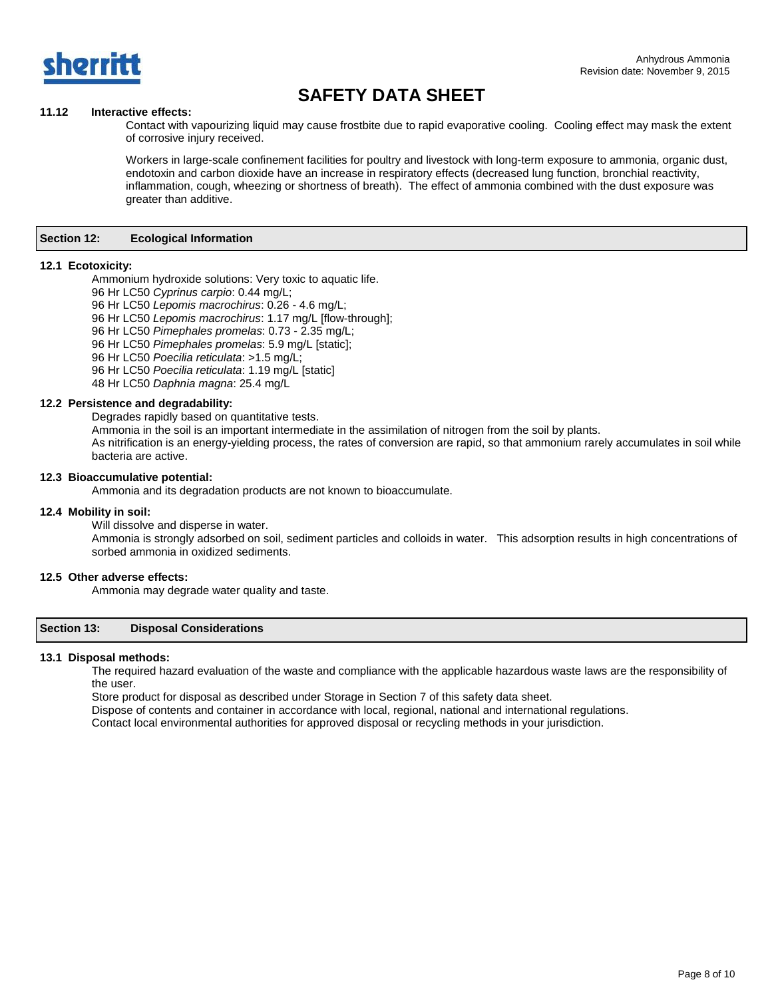

## **11.12 Interactive effects:**

Contact with vapourizing liquid may cause frostbite due to rapid evaporative cooling. Cooling effect may mask the extent of corrosive injury received.

Workers in large-scale confinement facilities for poultry and livestock with long-term exposure to ammonia, organic dust, endotoxin and carbon dioxide have an increase in respiratory effects (decreased lung function, bronchial reactivity, inflammation, cough, wheezing or shortness of breath). The effect of ammonia combined with the dust exposure was greater than additive.

#### **Section 12: Ecological Information**

### **12.1 Ecotoxicity:**

Ammonium hydroxide solutions: Very toxic to aquatic life.

- 96 Hr LC50 *Cyprinus carpio*: 0.44 mg/L;
- 96 Hr LC50 *Lepomis macrochirus*: 0.26 4.6 mg/L;

96 Hr LC50 *Lepomis macrochirus*: 1.17 mg/L [flow-through];

96 Hr LC50 *Pimephales promelas*: 0.73 - 2.35 mg/L;

96 Hr LC50 *Pimephales promelas*: 5.9 mg/L [static];

96 Hr LC50 *Poecilia reticulata*: >1.5 mg/L;

96 Hr LC50 *Poecilia reticulata*: 1.19 mg/L [static]

48 Hr LC50 *Daphnia magna*: 25.4 mg/L

## **12.2 Persistence and degradability:**

Degrades rapidly based on quantitative tests.

Ammonia in the soil is an important intermediate in the assimilation of nitrogen from the soil by plants.

As nitrification is an energy-yielding process, the rates of conversion are rapid, so that ammonium rarely accumulates in soil while bacteria are active.

#### **12.3 Bioaccumulative potential:**

Ammonia and its degradation products are not known to bioaccumulate.

#### **12.4 Mobility in soil:**

Will dissolve and disperse in water.

Ammonia is strongly adsorbed on soil, sediment particles and colloids in water. This adsorption results in high concentrations of sorbed ammonia in oxidized sediments.

### **12.5 Other adverse effects:**

Ammonia may degrade water quality and taste.

## **Section 13: Disposal Considerations**

#### **13.1 Disposal methods:**

The required hazard evaluation of the waste and compliance with the applicable hazardous waste laws are the responsibility of the user.

Store product for disposal as described under Storage in Section 7 of this safety data sheet.

Dispose of contents and container in accordance with local, regional, national and international regulations.

Contact local environmental authorities for approved disposal or recycling methods in your jurisdiction.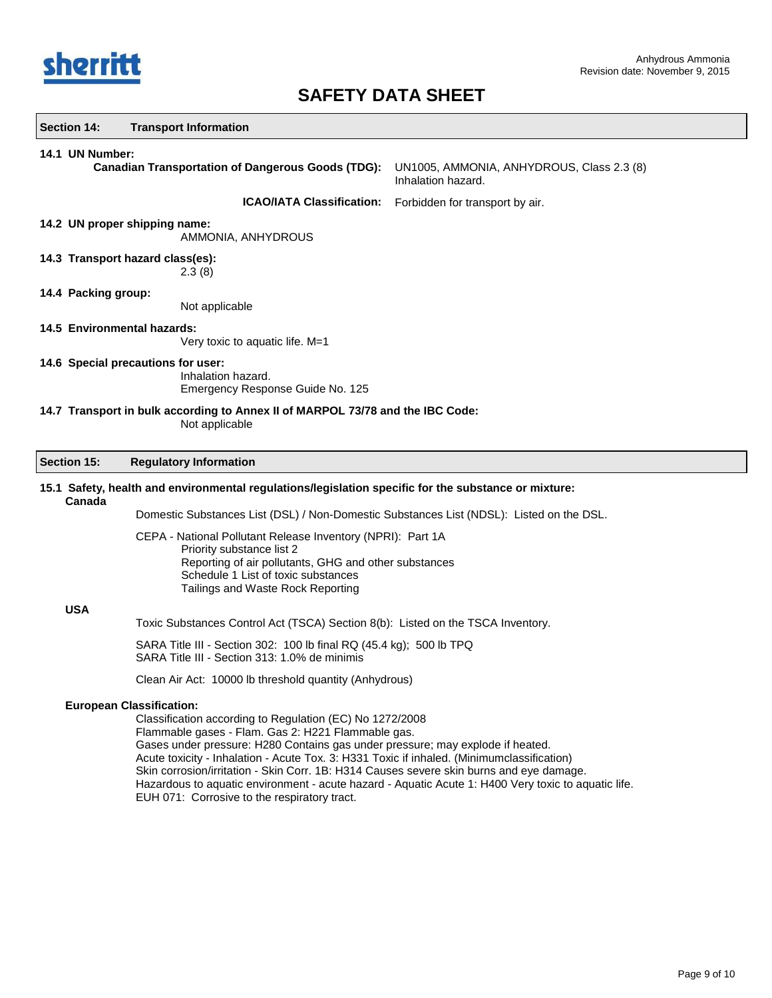

| Section 14:                                                                                      | <b>Transport Information</b>                                                                                                                                                                                                                                                                                                                                                                                                                                                                                                                                                         |                                                                 |  |  |
|--------------------------------------------------------------------------------------------------|--------------------------------------------------------------------------------------------------------------------------------------------------------------------------------------------------------------------------------------------------------------------------------------------------------------------------------------------------------------------------------------------------------------------------------------------------------------------------------------------------------------------------------------------------------------------------------------|-----------------------------------------------------------------|--|--|
| 14.1 UN Number:                                                                                  | <b>Canadian Transportation of Dangerous Goods (TDG):</b>                                                                                                                                                                                                                                                                                                                                                                                                                                                                                                                             | UN1005, AMMONIA, ANHYDROUS, Class 2.3 (8)<br>Inhalation hazard. |  |  |
|                                                                                                  | <b>ICAO/IATA Classification:</b>                                                                                                                                                                                                                                                                                                                                                                                                                                                                                                                                                     | Forbidden for transport by air.                                 |  |  |
|                                                                                                  | 14.2 UN proper shipping name:<br>AMMONIA, ANHYDROUS                                                                                                                                                                                                                                                                                                                                                                                                                                                                                                                                  |                                                                 |  |  |
|                                                                                                  | 14.3 Transport hazard class(es):<br>2.3(8)                                                                                                                                                                                                                                                                                                                                                                                                                                                                                                                                           |                                                                 |  |  |
| 14.4 Packing group:                                                                              | Not applicable                                                                                                                                                                                                                                                                                                                                                                                                                                                                                                                                                                       |                                                                 |  |  |
| 14.5 Environmental hazards:<br>Very toxic to aquatic life. M=1                                   |                                                                                                                                                                                                                                                                                                                                                                                                                                                                                                                                                                                      |                                                                 |  |  |
| 14.6 Special precautions for user:<br>Inhalation hazard.<br>Emergency Response Guide No. 125     |                                                                                                                                                                                                                                                                                                                                                                                                                                                                                                                                                                                      |                                                                 |  |  |
| 14.7 Transport in bulk according to Annex II of MARPOL 73/78 and the IBC Code:<br>Not applicable |                                                                                                                                                                                                                                                                                                                                                                                                                                                                                                                                                                                      |                                                                 |  |  |
| Section 15:                                                                                      | <b>Regulatory Information</b>                                                                                                                                                                                                                                                                                                                                                                                                                                                                                                                                                        |                                                                 |  |  |
| Canada                                                                                           | 15.1 Safety, health and environmental regulations/legislation specific for the substance or mixture:                                                                                                                                                                                                                                                                                                                                                                                                                                                                                 |                                                                 |  |  |
|                                                                                                  | Domestic Substances List (DSL) / Non-Domestic Substances List (NDSL): Listed on the DSL.                                                                                                                                                                                                                                                                                                                                                                                                                                                                                             |                                                                 |  |  |
|                                                                                                  | CEPA - National Pollutant Release Inventory (NPRI): Part 1A<br>Priority substance list 2<br>Reporting of air pollutants, GHG and other substances<br>Schedule 1 List of toxic substances<br>Tailings and Waste Rock Reporting                                                                                                                                                                                                                                                                                                                                                        |                                                                 |  |  |
| <b>USA</b>                                                                                       |                                                                                                                                                                                                                                                                                                                                                                                                                                                                                                                                                                                      |                                                                 |  |  |
|                                                                                                  | Toxic Substances Control Act (TSCA) Section 8(b): Listed on the TSCA Inventory.                                                                                                                                                                                                                                                                                                                                                                                                                                                                                                      |                                                                 |  |  |
|                                                                                                  | SARA Title III - Section 302: 100 lb final RQ (45.4 kg); 500 lb TPQ<br>SARA Title III - Section 313: 1.0% de minimis                                                                                                                                                                                                                                                                                                                                                                                                                                                                 |                                                                 |  |  |
|                                                                                                  | Clean Air Act: 10000 lb threshold quantity (Anhydrous)                                                                                                                                                                                                                                                                                                                                                                                                                                                                                                                               |                                                                 |  |  |
|                                                                                                  | <b>European Classification:</b><br>Classification according to Regulation (EC) No 1272/2008<br>Flammable gases - Flam. Gas 2: H221 Flammable gas.<br>Gases under pressure: H280 Contains gas under pressure; may explode if heated.<br>Acute toxicity - Inhalation - Acute Tox. 3: H331 Toxic if inhaled. (Minimumclassification)<br>Skin corrosion/irritation - Skin Corr. 1B: H314 Causes severe skin burns and eye damage.<br>Hazardous to aquatic environment - acute hazard - Aquatic Acute 1: H400 Very toxic to aquatic life.<br>EUH 071: Corrosive to the respiratory tract. |                                                                 |  |  |